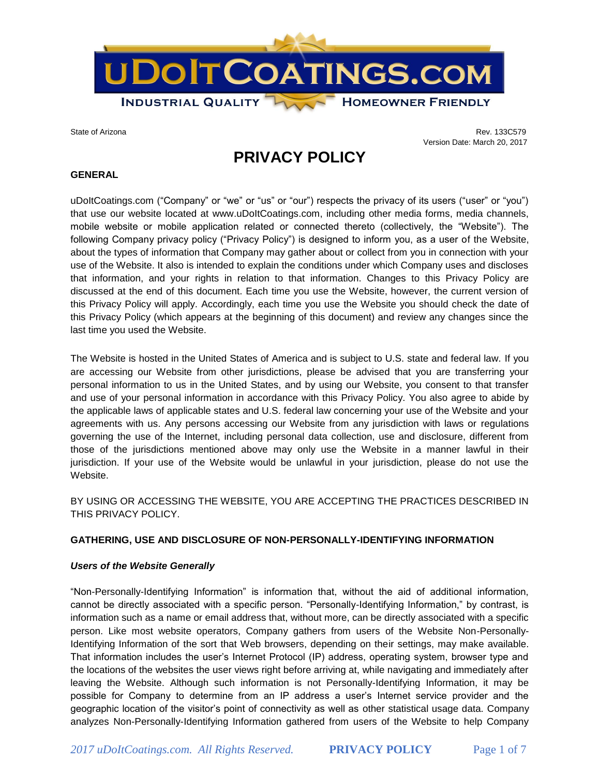

State of Arizona Rev. 133C579 Version Date: March 20, 2017

# **PRIVACY POLICY**

#### **GENERAL**

uDoItCoatings.com ("Company" or "we" or "us" or "our") respects the privacy of its users ("user" or "you") that use our website located at www.uDoltCoatings.com, including other media forms, media channels, mobile website or mobile application related or connected thereto (collectively, the "Website"). The following Company privacy policy ("Privacy Policy") is designed to inform you, as a user of the Website, about the types of information that Company may gather about or collect from you in connection with your use of the Website. It also is intended to explain the conditions under which Company uses and discloses that information, and your rights in relation to that information. Changes to this Privacy Policy are discussed at the end of this document. Each time you use the Website, however, the current version of this Privacy Policy will apply. Accordingly, each time you use the Website you should check the date of this Privacy Policy (which appears at the beginning of this document) and review any changes since the last time you used the Website.

The Website is hosted in the United States of America and is subject to U.S. state and federal law. If you are accessing our Website from other jurisdictions, please be advised that you are transferring your personal information to us in the United States, and by using our Website, you consent to that transfer and use of your personal information in accordance with this Privacy Policy. You also agree to abide by the applicable laws of applicable states and U.S. federal law concerning your use of the Website and your agreements with us. Any persons accessing our Website from any jurisdiction with laws or regulations governing the use of the Internet, including personal data collection, use and disclosure, different from those of the jurisdictions mentioned above may only use the Website in a manner lawful in their jurisdiction. If your use of the Website would be unlawful in your jurisdiction, please do not use the Website.

BY USING OR ACCESSING THE WEBSITE, YOU ARE ACCEPTING THE PRACTICES DESCRIBED IN THIS PRIVACY POLICY.

#### **GATHERING, USE AND DISCLOSURE OF NON-PERSONALLY-IDENTIFYING INFORMATION**

#### *Users of the Website Generally*

"Non-Personally-Identifying Information" is information that, without the aid of additional information, cannot be directly associated with a specific person. "Personally-Identifying Information," by contrast, is information such as a name or email address that, without more, can be directly associated with a specific person. Like most website operators, Company gathers from users of the Website Non-Personally-Identifying Information of the sort that Web browsers, depending on their settings, may make available. That information includes the user's Internet Protocol (IP) address, operating system, browser type and the locations of the websites the user views right before arriving at, while navigating and immediately after leaving the Website. Although such information is not Personally-Identifying Information, it may be possible for Company to determine from an IP address a user's Internet service provider and the geographic location of the visitor's point of connectivity as well as other statistical usage data. Company analyzes Non-Personally-Identifying Information gathered from users of the Website to help Company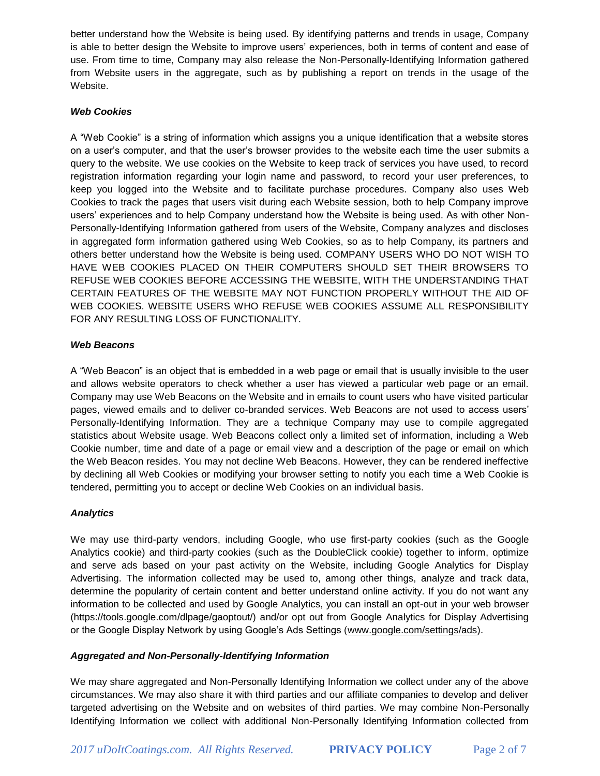better understand how the Website is being used. By identifying patterns and trends in usage, Company is able to better design the Website to improve users' experiences, both in terms of content and ease of use. From time to time, Company may also release the Non-Personally-Identifying Information gathered from Website users in the aggregate, such as by publishing a report on trends in the usage of the Website.

# *Web Cookies*

A "Web Cookie" is a string of information which assigns you a unique identification that a website stores on a user's computer, and that the user's browser provides to the website each time the user submits a query to the website. We use cookies on the Website to keep track of services you have used, to record registration information regarding your login name and password, to record your user preferences, to keep you logged into the Website and to facilitate purchase procedures. Company also uses Web Cookies to track the pages that users visit during each Website session, both to help Company improve users' experiences and to help Company understand how the Website is being used. As with other Non-Personally-Identifying Information gathered from users of the Website, Company analyzes and discloses in aggregated form information gathered using Web Cookies, so as to help Company, its partners and others better understand how the Website is being used. COMPANY USERS WHO DO NOT WISH TO HAVE WEB COOKIES PLACED ON THEIR COMPUTERS SHOULD SET THEIR BROWSERS TO REFUSE WEB COOKIES BEFORE ACCESSING THE WEBSITE, WITH THE UNDERSTANDING THAT CERTAIN FEATURES OF THE WEBSITE MAY NOT FUNCTION PROPERLY WITHOUT THE AID OF WEB COOKIES. WEBSITE USERS WHO REFUSE WEB COOKIES ASSUME ALL RESPONSIBILITY FOR ANY RESULTING LOSS OF FUNCTIONALITY.

### *Web Beacons*

A "Web Beacon" is an object that is embedded in a web page or email that is usually invisible to the user and allows website operators to check whether a user has viewed a particular web page or an email. Company may use Web Beacons on the Website and in emails to count users who have visited particular pages, viewed emails and to deliver co-branded services. Web Beacons are not used to access users' Personally-Identifying Information. They are a technique Company may use to compile aggregated statistics about Website usage. Web Beacons collect only a limited set of information, including a Web Cookie number, time and date of a page or email view and a description of the page or email on which the Web Beacon resides. You may not decline Web Beacons. However, they can be rendered ineffective by declining all Web Cookies or modifying your browser setting to notify you each time a Web Cookie is tendered, permitting you to accept or decline Web Cookies on an individual basis.

# *Analytics*

We may use third-party vendors, including Google, who use first-party cookies (such as the Google Analytics cookie) and third-party cookies (such as the DoubleClick cookie) together to inform, optimize and serve ads based on your past activity on the Website, including Google Analytics for Display Advertising. The information collected may be used to, among other things, analyze and track data, determine the popularity of certain content and better understand online activity. If you do not want any information to be collected and used by Google Analytics, you can install an opt-out in your web browser (https://tools.google.com/dlpage/gaoptout/) and/or opt out from Google Analytics for Display Advertising or the Google Display Network by using Google's Ads Settings [\(www.google.com/settings/ads\)](http://www.google.com/settings/ads).

# *Aggregated and Non-Personally-Identifying Information*

We may share aggregated and Non-Personally Identifying Information we collect under any of the above circumstances. We may also share it with third parties and our affiliate companies to develop and deliver targeted advertising on the Website and on websites of third parties. We may combine Non-Personally Identifying Information we collect with additional Non-Personally Identifying Information collected from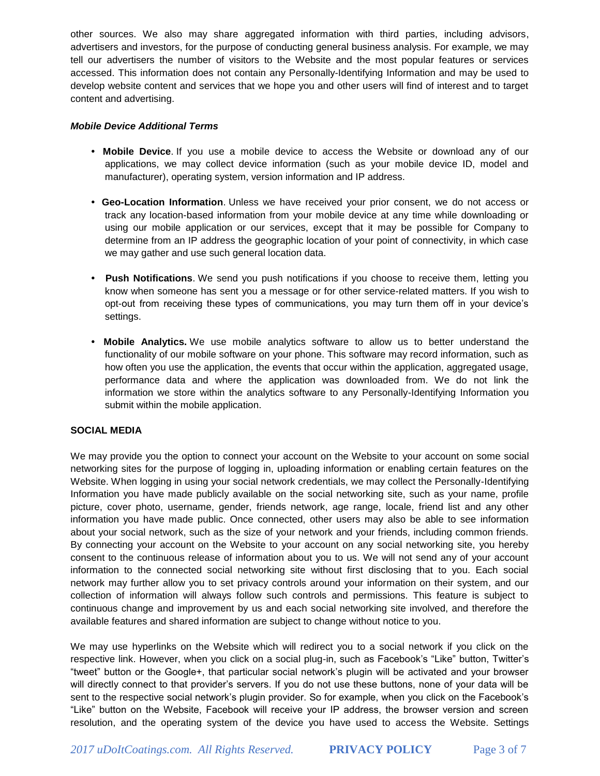other sources. We also may share aggregated information with third parties, including advisors, advertisers and investors, for the purpose of conducting general business analysis. For example, we may tell our advertisers the number of visitors to the Website and the most popular features or services accessed. This information does not contain any Personally-Identifying Information and may be used to develop website content and services that we hope you and other users will find of interest and to target content and advertising.

#### *Mobile Device Additional Terms*

- **• Mobile Device**. If you use a mobile device to access the Website or download any of our applications, we may collect device information (such as your mobile device ID, model and manufacturer), operating system, version information and IP address.
- **• Geo-Location Information**. Unless we have received your prior consent, we do not access or track any location-based information from your mobile device at any time while downloading or using our mobile application or our services, except that it may be possible for Company to determine from an IP address the geographic location of your point of connectivity, in which case we may gather and use such general location data.
- **Push Notifications**. We send you push notifications if you choose to receive them, letting you know when someone has sent you a message or for other service-related matters. If you wish to opt-out from receiving these types of communications, you may turn them off in your device's settings.
- **• Mobile Analytics.** We use mobile analytics software to allow us to better understand the functionality of our mobile software on your phone. This software may record information, such as how often you use the application, the events that occur within the application, aggregated usage, performance data and where the application was downloaded from. We do not link the information we store within the analytics software to any Personally-Identifying Information you submit within the mobile application.

#### **SOCIAL MEDIA**

We may provide you the option to connect your account on the Website to your account on some social networking sites for the purpose of logging in, uploading information or enabling certain features on the Website. When logging in using your social network credentials, we may collect the Personally-Identifying Information you have made publicly available on the social networking site, such as your name, profile picture, cover photo, username, gender, friends network, age range, locale, friend list and any other information you have made public. Once connected, other users may also be able to see information about your social network, such as the size of your network and your friends, including common friends. By connecting your account on the Website to your account on any social networking site, you hereby consent to the continuous release of information about you to us. We will not send any of your account information to the connected social networking site without first disclosing that to you. Each social network may further allow you to set privacy controls around your information on their system, and our collection of information will always follow such controls and permissions. This feature is subject to continuous change and improvement by us and each social networking site involved, and therefore the available features and shared information are subject to change without notice to you.

We may use hyperlinks on the Website which will redirect you to a social network if you click on the respective link. However, when you click on a social plug-in, such as Facebook's "Like" button, Twitter's "tweet" button or the Google+, that particular social network's plugin will be activated and your browser will directly connect to that provider's servers. If you do not use these buttons, none of your data will be sent to the respective social network's plugin provider. So for example, when you click on the Facebook's "Like" button on the Website, Facebook will receive your IP address, the browser version and screen resolution, and the operating system of the device you have used to access the Website. Settings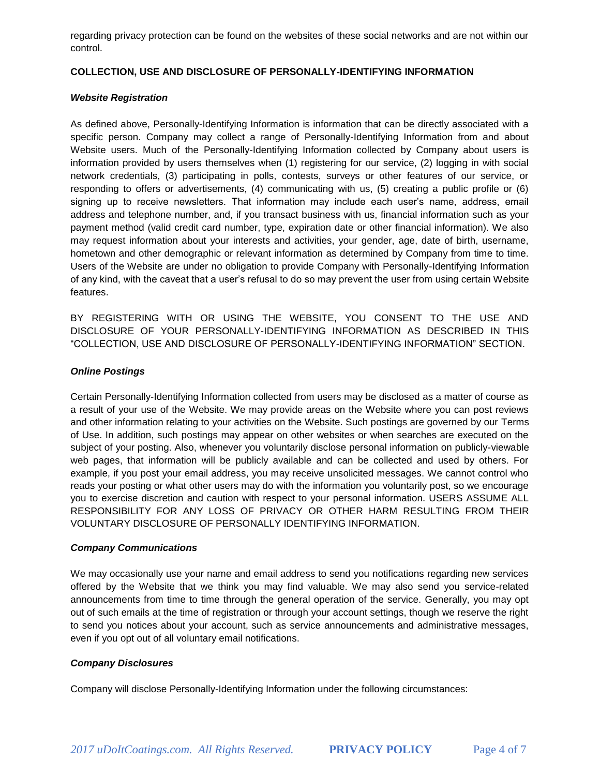regarding privacy protection can be found on the websites of these social networks and are not within our control.

### **COLLECTION, USE AND DISCLOSURE OF PERSONALLY-IDENTIFYING INFORMATION**

#### *Website Registration*

As defined above, Personally-Identifying Information is information that can be directly associated with a specific person. Company may collect a range of Personally-Identifying Information from and about Website users. Much of the Personally-Identifying Information collected by Company about users is information provided by users themselves when (1) registering for our service, (2) logging in with social network credentials, (3) participating in polls, contests, surveys or other features of our service, or responding to offers or advertisements, (4) communicating with us, (5) creating a public profile or (6) signing up to receive newsletters. That information may include each user's name, address, email address and telephone number, and, if you transact business with us, financial information such as your payment method (valid credit card number, type, expiration date or other financial information). We also may request information about your interests and activities, your gender, age, date of birth, username, hometown and other demographic or relevant information as determined by Company from time to time. Users of the Website are under no obligation to provide Company with Personally-Identifying Information of any kind, with the caveat that a user's refusal to do so may prevent the user from using certain Website features.

BY REGISTERING WITH OR USING THE WEBSITE, YOU CONSENT TO THE USE AND DISCLOSURE OF YOUR PERSONALLY-IDENTIFYING INFORMATION AS DESCRIBED IN THIS "COLLECTION, USE AND DISCLOSURE OF PERSONALLY-IDENTIFYING INFORMATION" SECTION.

### *Online Postings*

Certain Personally-Identifying Information collected from users may be disclosed as a matter of course as a result of your use of the Website. We may provide areas on the Website where you can post reviews and other information relating to your activities on the Website. Such postings are governed by our Terms of Use. In addition, such postings may appear on other websites or when searches are executed on the subject of your posting. Also, whenever you voluntarily disclose personal information on publicly-viewable web pages, that information will be publicly available and can be collected and used by others. For example, if you post your email address, you may receive unsolicited messages. We cannot control who reads your posting or what other users may do with the information you voluntarily post, so we encourage you to exercise discretion and caution with respect to your personal information. USERS ASSUME ALL RESPONSIBILITY FOR ANY LOSS OF PRIVACY OR OTHER HARM RESULTING FROM THEIR VOLUNTARY DISCLOSURE OF PERSONALLY IDENTIFYING INFORMATION.

# *Company Communications*

We may occasionally use your name and email address to send you notifications regarding new services offered by the Website that we think you may find valuable. We may also send you service-related announcements from time to time through the general operation of the service. Generally, you may opt out of such emails at the time of registration or through your account settings, though we reserve the right to send you notices about your account, such as service announcements and administrative messages, even if you opt out of all voluntary email notifications.

# *Company Disclosures*

Company will disclose Personally-Identifying Information under the following circumstances: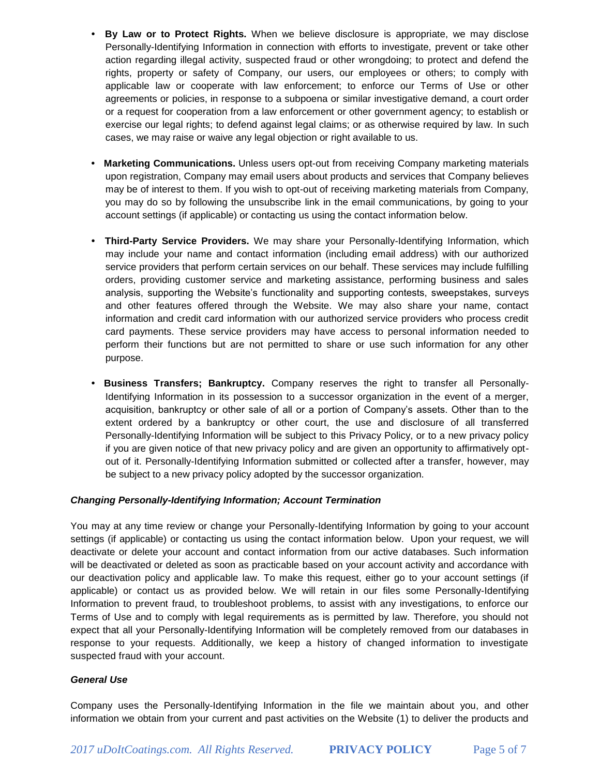- **By Law or to Protect Rights.** When we believe disclosure is appropriate, we may disclose Personally-Identifying Information in connection with efforts to investigate, prevent or take other action regarding illegal activity, suspected fraud or other wrongdoing; to protect and defend the rights, property or safety of Company, our users, our employees or others; to comply with applicable law or cooperate with law enforcement; to enforce our Terms of Use or other agreements or policies, in response to a subpoena or similar investigative demand, a court order or a request for cooperation from a law enforcement or other government agency; to establish or exercise our legal rights; to defend against legal claims; or as otherwise required by law. In such cases, we may raise or waive any legal objection or right available to us.
- **Marketing Communications.** Unless users opt-out from receiving Company marketing materials upon registration, Company may email users about products and services that Company believes may be of interest to them. If you wish to opt-out of receiving marketing materials from Company, you may do so by following the unsubscribe link in the email communications, by going to your account settings (if applicable) or contacting us using the contact information below.
- **• Third-Party Service Providers.** We may share your Personally-Identifying Information, which may include your name and contact information (including email address) with our authorized service providers that perform certain services on our behalf. These services may include fulfilling orders, providing customer service and marketing assistance, performing business and sales analysis, supporting the Website's functionality and supporting contests, sweepstakes, surveys and other features offered through the Website. We may also share your name, contact information and credit card information with our authorized service providers who process credit card payments. These service providers may have access to personal information needed to perform their functions but are not permitted to share or use such information for any other purpose.
- **Business Transfers; Bankruptcy.** Company reserves the right to transfer all Personally-Identifying Information in its possession to a successor organization in the event of a merger, acquisition, bankruptcy or other sale of all or a portion of Company's assets. Other than to the extent ordered by a bankruptcy or other court, the use and disclosure of all transferred Personally-Identifying Information will be subject to this Privacy Policy, or to a new privacy policy if you are given notice of that new privacy policy and are given an opportunity to affirmatively optout of it. Personally-Identifying Information submitted or collected after a transfer, however, may be subject to a new privacy policy adopted by the successor organization.

# *Changing Personally-Identifying Information; Account Termination*

You may at any time review or change your Personally-Identifying Information by going to your account settings (if applicable) or contacting us using the contact information below. Upon your request, we will deactivate or delete your account and contact information from our active databases. Such information will be deactivated or deleted as soon as practicable based on your account activity and accordance with our deactivation policy and applicable law. To make this request, either go to your account settings (if applicable) or contact us as provided below. We will retain in our files some Personally-Identifying Information to prevent fraud, to troubleshoot problems, to assist with any investigations, to enforce our Terms of Use and to comply with legal requirements as is permitted by law. Therefore, you should not expect that all your Personally-Identifying Information will be completely removed from our databases in response to your requests. Additionally, we keep a history of changed information to investigate suspected fraud with your account.

# *General Use*

Company uses the Personally-Identifying Information in the file we maintain about you, and other information we obtain from your current and past activities on the Website (1) to deliver the products and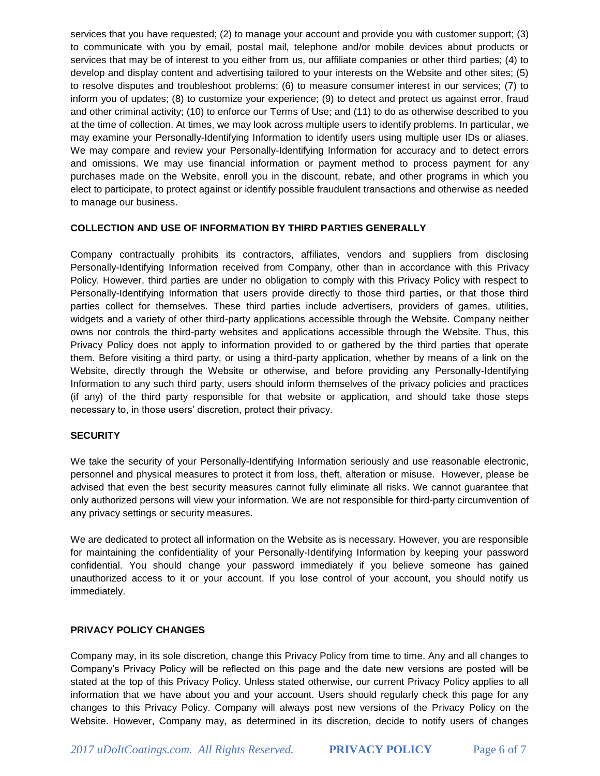services that you have requested; (2) to manage your account and provide you with customer support; (3) to communicate with you by email, postal mail, telephone and/or mobile devices about products or services that may be of interest to you either from us, our affiliate companies or other third parties; (4) to develop and display content and advertising tailored to your interests on the Website and other sites; (5) to resolve disputes and troubleshoot problems; (6) to measure consumer interest in our services; (7) to inform you of updates; (8) to customize your experience; (9) to detect and protect us against error, fraud and other criminal activity; (10) to enforce our Terms of Use; and (11) to do as otherwise described to you at the time of collection. At times, we may look across multiple users to identify problems. In particular, we may examine your Personally-Identifying Information to identify users using multiple user IDs or aliases. We may compare and review your Personally-Identifying Information for accuracy and to detect errors and omissions. We may use financial information or payment method to process payment for any purchases made on the Website, enroll you in the discount, rebate, and other programs in which you elect to participate, to protect against or identify possible fraudulent transactions and otherwise as needed to manage our business.

### **COLLECTION AND USE OF INFORMATION BY THIRD PARTIES GENERALLY**

Company contractually prohibits its contractors, affiliates, vendors and suppliers from disclosing Personally-Identifying Information received from Company, other than in accordance with this Privacy Policy. However, third parties are under no obligation to comply with this Privacy Policy with respect to Personally-Identifying Information that users provide directly to those third parties, or that those third parties collect for themselves. These third parties include advertisers, providers of games, utilities, widgets and a variety of other third-party applications accessible through the Website. Company neither owns nor controls the third-party websites and applications accessible through the Website. Thus, this Privacy Policy does not apply to information provided to or gathered by the third parties that operate them. Before visiting a third party, or using a third-party application, whether by means of a link on the Website, directly through the Website or otherwise, and before providing any Personally-Identifying Information to any such third party, users should inform themselves of the privacy policies and practices (if any) of the third party responsible for that website or application, and should take those steps necessary to, in those users' discretion, protect their privacy.

#### **SECURITY**

We take the security of your Personally-Identifying Information seriously and use reasonable electronic, personnel and physical measures to protect it from loss, theft, alteration or misuse. However, please be advised that even the best security measures cannot fully eliminate all risks. We cannot guarantee that only authorized persons will view your information. We are not responsible for third-party circumvention of any privacy settings or security measures.

We are dedicated to protect all information on the Website as is necessary. However, you are responsible for maintaining the confidentiality of your Personally-Identifying Information by keeping your password confidential. You should change your password immediately if you believe someone has gained unauthorized access to it or your account. If you lose control of your account, you should notify us immediately.

# **PRIVACY POLICY CHANGES**

Company may, in its sole discretion, change this Privacy Policy from time to time. Any and all changes to Company's Privacy Policy will be reflected on this page and the date new versions are posted will be stated at the top of this Privacy Policy. Unless stated otherwise, our current Privacy Policy applies to all information that we have about you and your account. Users should regularly check this page for any changes to this Privacy Policy. Company will always post new versions of the Privacy Policy on the Website. However, Company may, as determined in its discretion, decide to notify users of changes